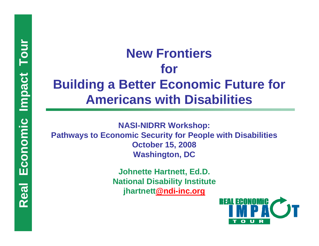# New Frontiers<br>
for<br>
Building a Better Economic Future for<br>
Americans with Disabilities<br>
Pathways to Economic Security for People with Disabilities<br>
Pathways to Economic Security for People with Disabilities<br>
October 15, 20

jhartnett@ndi-inc.org

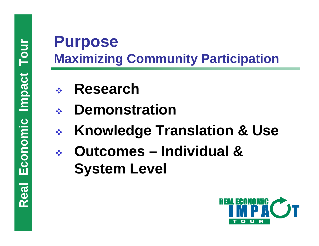# **Purpose<br>
Maximizing Community Participation**<br>
• Research<br>
• Lemonstration<br>
• Knowledge Translation & Use<br>
• Outcomes – Individual &<br>
System Level<br>
• Real Equation

- **Research**
- **Demonstration**
- **Knowledge Translation & Use**
- **Outcomes – Individual & System Level**

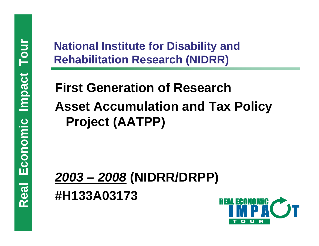# National Institute for Disability and<br>
Rehabilitation Research (NIDRR)<br>
First Generation of Research<br>
Asset Accumulation and Tax Policy<br>
Project (AATPP)<br>
2003 – 2008 (NIDRR/DRPP)<br>
#H133A03173

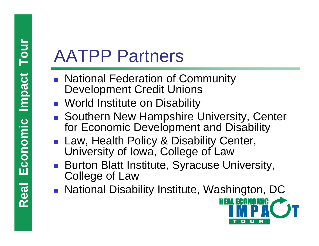- **REAL TERM ANTPP Partners<br>
Development Credit University of Development Credit University<br>
Southern New Hampshire for Economic Developm<br>
Law, Health Policy & Distribution College of Law<br>
Burton Blatt Institute, Sy<br>
<b>Real P**  $\mathbb{R}^n$  National Federation of Community Development Credit Unions
	- **Norld Institute on Disability**
	- Southern New Hampshire University, Center for Economic Development and Disability
	- Law, Health Policy & Disability Center, University of Iowa, College of Law
	- Burton Blatt Institute, Syracuse University, College of Law
	- National Disability Institute, Washington, DC

<u>REAL ECONOMIC</u>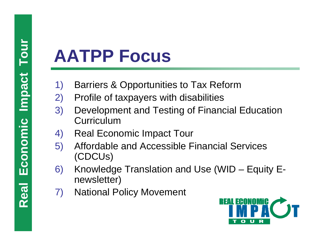- 
- 
- **AATPP Focus**<br>
1) Barriers & Opportunities to Tax Reform<br>
2) Profile of taxpayers with disabilities<br>
3) Development and Testing of Financial Education<br>
4) Real Economic Impact Tour<br>
5) Affordable and Accessible Financial S
	-
	-
	- Knowledge Translation and Use (WID  $-$  Equity Enewsletter)
	- 7) National Policy Movement

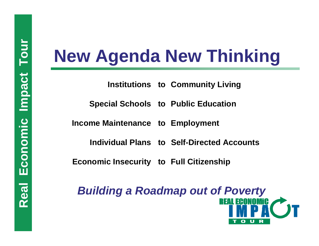**t o Employment**

**Individual Plansto Self-Directed Accounts**

**Economic Insecurity to Full Citizenship**

**Real Economic Institutions to Community Living<br>
Special Schools to Public Education<br>
Income Maintenance to Employment<br>
Individual Plans to Self-Directed Accounts<br>
Economic Insecurity to Full Citizenship<br>
Building a Roadma** *Building a Roadmap out of Poverty*

Ω

u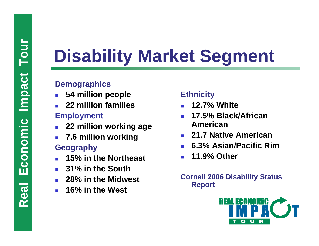# **Real Exonomic IMPACK Segment**<br> **Remographics**<br> **Remographics**<br> **Replominalies**<br> **Replominalies**<br> **Replominalies**<br> **Replominalies**<br> **Report**<br> **Real Equation**<br> **Real Exploment**<br> **Report**<br> **Report**<br> **REAL EQUADER**<br> **REAL EQU**

- F. **54 million people**
- F. **22 million families**

## **Employment**

- F. **22 million working age**
- У. **7.6 million working**

## **Geography**

- F. **15% in the Northeast**
- У. **31% in the South**
- F. **28% in the Midwest**
- F. **16% in the West**

## **Ethnicity**

- F. **12.7% White**
- F. **17.5% Black/African American**
- **21.7 Native American**
- F. **6.3% Asian/Pacific Rim**
- M. **11.9% Other**

## **Cornell 2006 Disability Status Report**

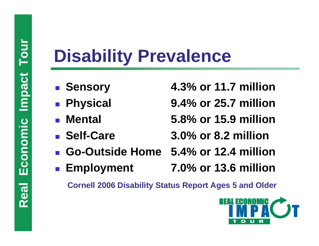# **Real Equipment Concel 2006 Disability Prevalence**<br> **Real Physical 9.4% or 25.**<br> **Real Physical 9.4% or 25.**<br> **Real Physical 5.8% or 15.9% or 15.9% or 15.9% or 15.9% or 8.2**<br> **Real Physical Physical 5.4% or 12.**<br> **Real Phy**

- **R** Sensory
- $\mathbb{R}^n$
- $\mathbb{R}^n$
- **Self-Care**
- **4.3% or 11.7 million**
- **Physical 9.4% or 25.7 million**
- **Mental 5.8% or 15.9 million**
	- **Self-Care 3.0% or 8.2 million**
- $\mathbb{R}^n$ **Go-Outside Home 5.4% or 12.4 million**
- $\mathbb{R}^n$ **Employment 7.0% or 13.6 million**

**Cornell 2006 Disability Status Report Ages 5 and Older**

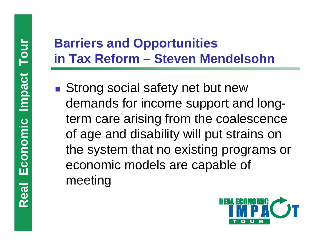**Real Equipment Conomic School Conomic School Conomic School Conomic School Conomic School Conomic models are capal meeting Service Service Strong social safety net but new** demands for income support and longterm care arising from the coalescence of age and disability will put strains on the system that no existing programs or economic models are capable of meeting

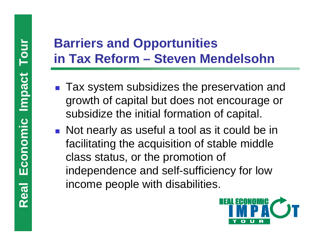- Tax system subsidizes the preservation and growth of capital but does not encourage or subsidize the initial formation of capital.
- **Real Equipment Conomic Impact Town Mercy Township Tax system subsidizes the preserved of the subsidize the initial formation of subsidize the initial formation of subsidize the initial formation of standard Mercy Allen Co Not nearly as useful a tool as it could be in** facilitating the acquisition of stable middle class status, or the promotion of independence and self-sufficiency for low income people with disabilities.

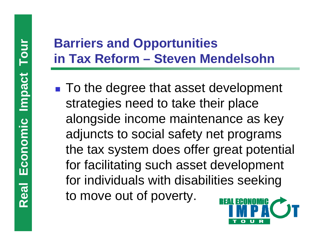**Real Equipment In Tax Reform – Steven Mer**<br> **Real Equipment To the degree that asset derivategies need to take their alongside income maintenand adjuncts to social safety ner the tax system does offer g for facilitating s Service Service** ■ To the degree that asset development strategies need to take their place alongside income maintenance as key adjuncts to social safety net programs the tax system does offer great potential for facilitating such asset development for individuals with disabilities seeking to move out of poverty.

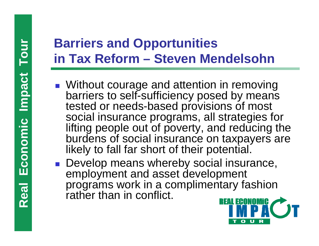- **Real Equipment State Toward Conomic Instance In Tax Reform Steven Meral University of the Universe of the Universe Top Instance programs, all set if they be programs of social insurance on likely to fall far short of th** ■ Without courage and attention in removing barriers to self-sufficiency posed by means tested or needs-based provisions of most social insurance programs, all strategies for lifting people out of poverty, and reducing the burdens of social insurance on taxpayers are likely to fall far short of their potential.
	- **Develop means whereby social insurance,** employment and asset development programs work in a complimentary fashion rather than in conflict.

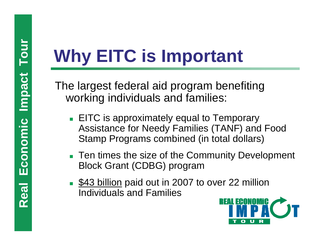- **Real Economic The largest federal aid program benefiting**<br> **Real ECONOMic Incident Conomic Instance for Needy Families (TANF) and F<br>
Stamp Programs combined (in total dollars)<br>
<b>Real Economic Individuals and Families**<br> **R EITC** is approximately equal to Temporary Assistance for Needy Families (TANF) and Food Stamp Programs combined (in total dollars)
	- Ten times the size of the Community Development Block Grant (CDBG) program
	- **\$43 billion paid out in 2007 to over 22 million** Individuals and Families

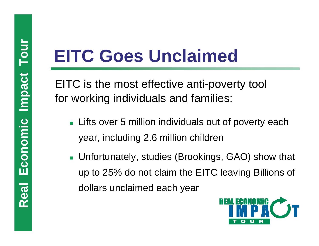- **Lifts over 5 million individuals out of poverty each** year, including 2.6 million children
- **REITC Goes Unclaimed**<br>
EITC is the most effective anti-poverty tool<br>
for working individuals and families:<br>
 Lifts over 5 million individuals out of poverty of<br>
year, including 2.6 million children<br>
 Unfortunately, stud ■ Unfortunately, studies (Brookings, GAO) show that up to 25% do not claim the EITC leaving Billions of dollars unclaimed each year

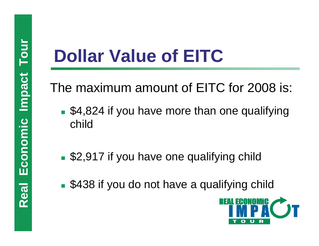- **Real Economic Impact The maximum amount of EITC for 2008 is:**<br> **Real Equation Real Execution**<br> **Real Equation**<br> **Real Equation**<br> **Real Equation**<br> **REAL EXECUTE:**<br> **REAL EXECUTE:**<br> **REAL EXECUTE: S4,824 if you have more than one qualifying** child
	- **S2,917 if you have one qualifying child**
	- **S438 if you do not have a qualifying child**

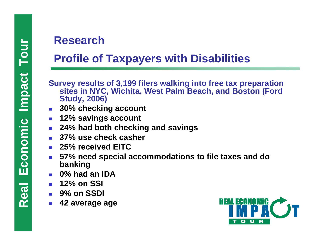- Profile of Taxpayers with Disabilities<br>
Survey results of 3,199 filers walking into free tax preparation<br>
stress in NYC, Wichita, West Palm Beach, and Boston (Ford<br>
study, 2006)<br>
 30% checking account<br>
 24% had both che
	- × **30% checking account**
	- × **12% savings account**
	- × **24% had both checking and savings**
	- × **37% use check casher**
	- × **25% received EITC**
	- L, **57% need special accommodations to file taxes and do banking**
	- F. **0% had an IDA**
	- F. **12% on SSI**
	- $\mathcal{L}_{\text{max}}$ **9% on SSDI**
	- F. **42 average age**

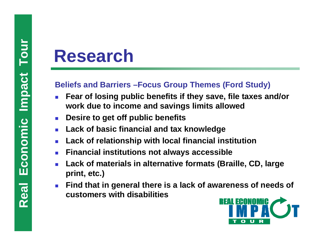- F. **Fear of losing public benefits if they save, file taxes and/or work due to income and savings limits allowed**
- $\mathcal{C}^{\mathcal{A}}$ **Desire to get off public benefits**
- F. **Lack of basic financial and tax knowledge**
- F. **Lack of relationship with local financial institution**
- $\overline{\mathcal{A}}$ **Finan cial institutions not always accessible**
- F. **Lack of materials in alternative formats (Braille, CD, large print, etc.)**
- **Research**<br>
Beliefs and Barriers –Focus Group Themes (Ford Study)<br>
 Fear of losing public benefits if they save, file taxes and<br>
work due to income and savings limits allowed<br>
 Desire to get off public benefits<br>
 Lack o  $\mathcal{L}_{\mathcal{A}}$  **Find that in general there is a lack of awareness of needs of customers with disabilities**

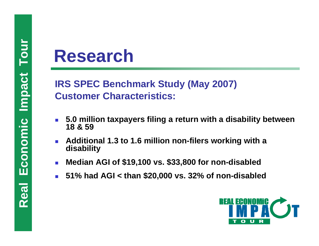**Research**<br> **IRS SPEC Benchmark Study (May 2007)**<br>
Customer Characteristics:<br>
18 & 59<br> **Additional 1.3 to 1.6 million non-filers workin**<br>
disability<br> **IRM Median AGI of \$19,100 vs. \$33,800 for non-di-**<br>
181% had AGI < than

- M. **5.0 million taxpayers filing a return with a disability between 18 & 59**
- F. **Additional 1.3 to 1.6 million non-filers working with a disability**
- $\mathcal{L}_{\mathcal{A}}$ **Median AGI of \$19,100 vs. \$33,800 for non-disabled**
- F. **51% had AGI < than \$20,000 vs. 32% of non-disabled**

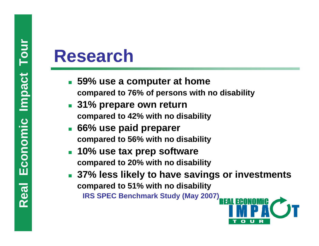- **59% use a computer at home compared to 76% of persons with no disability**
- **31% prepare own return compared to 42% with no disability**
- F. **66% use paid preparer compared to 56% with no disability**
- F. **10% use tax prep software compared to 20% with no disability**
- P. **37% less likely to have savings or investments compared to 51% with no disability IRS SPEC Benchmark Study (May 2007)**

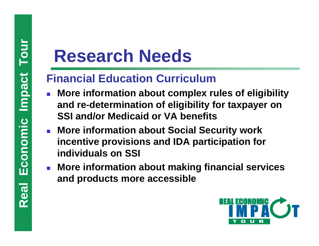- **Research Needs<br>
Financial Education Curriculum**<br>
More information about complex ru<br>
and re-determination of eligibility for<br>
SSI and/or Medicaid or VA benefits<br>
More information about Social Secu<br>
incentive provisions and  $\overline{\phantom{a}}$  **More information about complex rules of eligibility and re-determination of eligibility for taxpayer on SSI and/or Medicaid or VA benefits**
	- **More information about Social Security work incentive provisions and IDA participation for individuals on SSI**
	- **More information about making financial services and products more accessible**

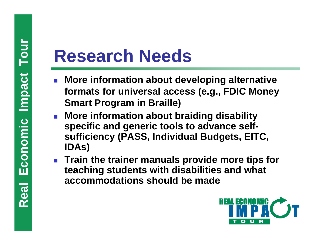- $\mathcal{L}_{\mathcal{A}}$  **More information about developing alternative formats for universal access (e.g., FDIC Money Smart Program in Braille)**
- **Research Needs<br>
 More information about dev**<br>
formats for universal acces<br>
Smart Program in Braille)<br>
 More information about brail<br>
specific and generic tools to<br>
sufficiency (PASS, Individual<br>
IDAs)<br>
 Train the train **More information about braiding disability specific and generic tools to advance selfsufficiency (PASS, Individual Budgets, EITC, IDAs)**
	- **Train the trainer manuals provide more tips for teaching students with disabilities and what accommodations should be made**

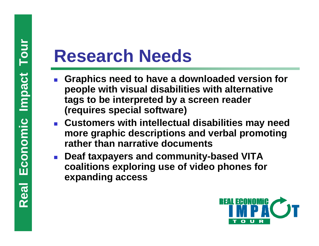- **Research Needs**<br> **Research Needs**<br> **Prople with visual disabilities tags to be interpreted by a s<br>
(requires special software)<br>
 Customers with intellectual<br>
more graphic descriptions a<br>
rather than narrative docum<br>
 De**  $\overline{\phantom{a}}$  **Graphics need to have a downloaded version for people with visual disabilities with alternative tags to be interpreted by a screen reader (requires special software)**
	- **Customers with intellectual disabilities may need more graphic descriptions and verbal promoting rather than narrative documents**
	- F **Deaf taxpayers and community-based VITA coalitions exploring use of video phones for expanding access**

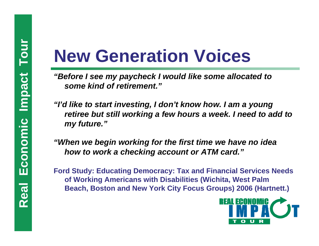- **New Generation Voices**<br> *"Before I see my paycheck I would like some allocated to*<br>
some kind of retirement."<br>
"I'd like to start investing, I don't know how. I am a young<br>
retiree but still working a few hours a week. I
	-
	- **king A mericans with Disabilities (Wichita, West Palm Beach, Boston and New York City Focus Groups) 2006 (Hartnett.)**

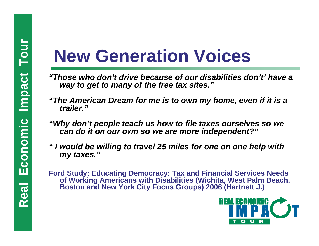- "Those who don't drive because of our disabilities don't' have a *way to get to many of the free tax sites."*
- *"The American Dream for me is to own my home, even if it is a trailer."*
- *"Why don't people teach us how to file taxes ourselves so we can do it on our own so we are more independent?"*
- *"I would be willing to travel 25 miles for one on one help with my taxes."*
- **Real Economic Impact Tourism of the free tax sites."**<br> **Real Economic Impact To the Secause of our disabilities don't'**<br> **Real American Dream for me is to own my home, even if**<br> **Propertation of the fraction in the fracti Ford Study: Educating Democracy: Tax and Financial Services Needs of Wor king A mericans with Disabilities (Wichita, West Palm Beach, Boston and New York City Focus Groups) 2006 (Hartnett J.)**

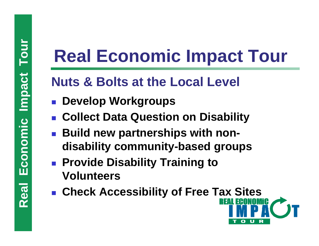- $\left\lfloor \cdot \right\rfloor$ **Develop Workgroups**
- $\mathbb{R}^n$ **Collect Data Question on Disability**
- **Real Economic Impact Tour<br>
Nuts & Bolts at the Local Level<br>
 Develop Workgroups<br>
 Collect Data Question on Disability<br>
 Build new partnerships with non-<br>
disability community-based groups<br>
 Provide Disability Training** F **Build new partnerships with nondisability community-based groups**
	- Provide Disability Training to **Volunteers**
	- **Check Accessibility of Free Tax Sites**

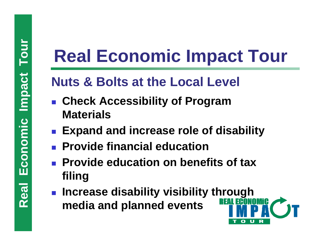- **Check Accessibility of Program Materials**
- F **Expand and increase role of disability**
- $\mathbb{R}^2$ **Provide financial education**
- **Real Economic Impact Tour<br>
Nuts & Bolts at the Local Level<br>
 Check Accessibility of Program<br>
Materials<br>
 Expand and increase role of disability<br>
 Provide education<br>
 Provide education on benefits of tax<br>
filing<br>
 Inc Provide education on benefits of tax filing**
	- **Increase disability visibility through media and planned events**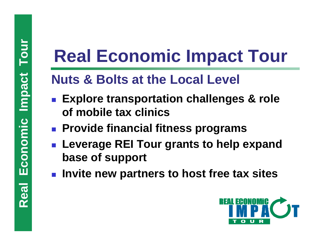- $\mathbb{R}^n$  **Explore transportation challenges & role of mobile tax clinics**
- **Provide financial fitness programs**
- **Real Economic Impact Tour<br>
Nuts & Bolts at the Local Level<br>
 Explore transportation challenges & role<br>
of mobile tax clinics<br>
 Provide financial fitness programs<br>
 Leverage REI Tour grants to help expand<br>
base of suppo**  $\mathbb{R}^2$  **Leverage REI Tour grants to help expand base of support**
	- **Invite new partners to host free tax sites**

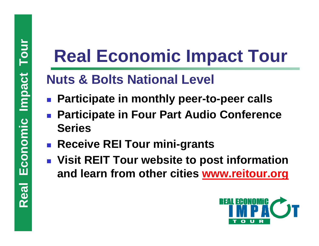- $\mathcal{L}^{\text{max}}_{\text{max}}$ **Participate in monthly peer-to-peer calls**
- **Participate in Four Part Audio Conference Series**
- **Receive REI Tour mini-grants**
- **Real Economic Impact Tour<br>
Nuts & Bolts National Level<br>
 Participate in monthly peer-to-peer calls<br>
 Participate in Four Part Audio Conference<br>
Series<br>
 Receive REI Tour mini-grants<br>
 Visit REIT Tour website to post i Visit REIT Tour website to post information and learn from other cities [www.reitour.org](http://www.reitour.org/)**

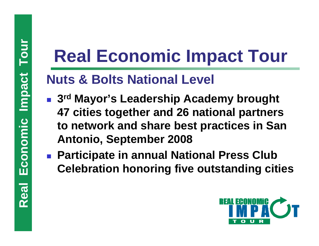- **Real Economic Impact Tour<br>
Nuts & Bolts National Level<br>
 3<sup>rd</sup> Mayor's Leadership Academy brought<br>
47 cities together and 26 national partners<br>
to network and share best practices in San<br>
Antonio, September 2008<br>
 Parti 3rd Mayor's Leadership Academy brought 47 cities together and 26 national partners to network and share best practices in San Antonio, September 2008**
	- **Participate in annual National Press Club Celebration honoring five outstanding cities**

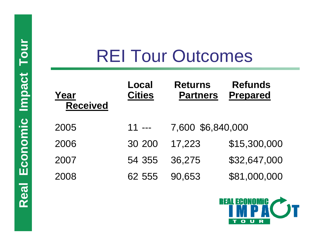| Tour     | <b>REI Tour Outcomes</b> |                               |                                   |                                   |
|----------|--------------------------|-------------------------------|-----------------------------------|-----------------------------------|
| mpact    | Year<br><b>Received</b>  | <b>Local</b><br><b>Cities</b> | <b>Returns</b><br><b>Partners</b> | <b>Refunds</b><br><b>Prepared</b> |
| Economic | 2005                     | $11$ ---                      | 7,600 \$6,840,000                 |                                   |
|          | 2006                     | 30 200                        | 17,223                            | \$15,300,000                      |
|          | 2007                     | 54 355                        | 36,275                            | \$32,647,000                      |
|          | 2008                     | 62 555                        | 90,653                            | \$81,000,000                      |
| BO       |                          |                               |                                   | <b>REAL ECONOMIC</b>              |

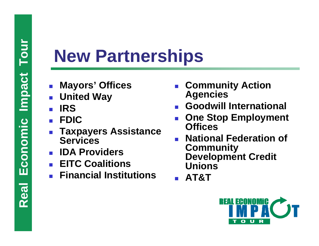# **Rew Partnerships<br>
Mayors' Offices Conomical Public Proces Conomic International Providers**<br> **REAL Expayers Assistance Officient**<br> **REAL ENGINE PROVIDER**<br> **REAL ENGINE PROVIDER**<br> **REAL ENGINE PROVIDER**<br> **REAL ENGINE PROVID**

- $\overline{\phantom{a}}$ **Mayors' Offices**
- $\overline{\phantom{a}}$ **United Way**
- $\overline{\phantom{a}}$ **IRS**
- $\overline{\phantom{a}}$ **FDIC**
- $\overline{\phantom{a}}$  **Taxpayers Assistance Services**
- F **IDA Providers**
- $\overline{\phantom{a}}$ **EITC Coalitions**
- $\overline{\phantom{a}}$ **Financial Institutions**
- П **Community Action Agencies**
- П **Goodwill International**
- П **One Stop Employment Offices**
- П **National Federation of Community Development Credit Unions**
- П **AT&T**

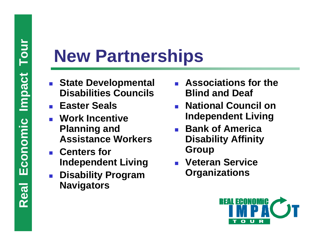- $\overline{\phantom{a}}$  **State Developmental Disabilities Councils**
- **Easter Seals**
- **Rew Partnerships<br>
State Developmental**<br>
Disabilities Councils<br> **Real Economic Burners of Planning and**<br>
Assistance Workers<br> **Real Assistance Workers**<br> **Real Assistance Workers**<br> **Real Assistance Workers**<br> **Real Assistance**  $\overline{\phantom{a}}$  **Work Incentive Planning and Assistance Workers**
	- **Centers for Independent Living**
	- $\overline{\phantom{a}}$  **Disability Program Navigators**
- П **Associations for the Blind and Deaf**
- П **National Council on Independent Living**
- T **Bank of America Disability Affinity Group**
- П **Veteran Service Organizations**

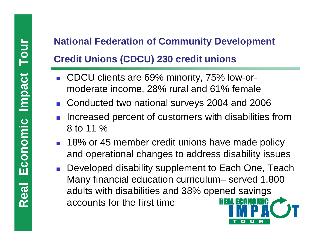- $\overline{\phantom{a}}$  CDCU clients are 69% minority, 75% low-ormoderate income, 28% rural and 61% female
- Conducted two national surveys 2004 and 2006
- $\overline{\phantom{a}}$  Increased percent of customers with disabilities from 8 to 11 %
- 18% or 45 member credit unions have made policy and operational changes to address disability issues
- **Real Economic Impact Touris CCDCU)**<br> **Real Economic Impact Touris are 69% minority, 75% low-or-**<br> **Real Exercise COCU clients are 69% minority, 75% low-or-**<br> **Real Conducted two national surveys 2004 and 2006**<br> **Real Depe Developed disability supplement to Each One, Teach** Many financial education curriculum– served 1,800 adults with disabilities and 38% opened savings accounts for the first time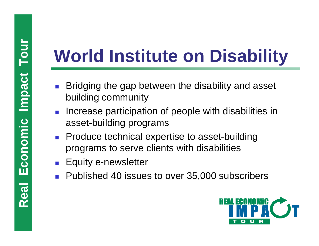- Ξ Bridging the gap between the disability and asset building community
- **Real Economic Institute on Disability**<br> **Real Economic Building community**<br> **Real Equity of Produce technical expertise to asset-building<br>
Produce technical expertise to asset-building<br>
Produce technical expertise to asse College**  Increase participation of people with disabilities in asset-building programs
	- **Produce technical expertise to asset-building** programs to serve clients with disabilities
	- Ξ Equity e-newsletter
	- **Published 40 issues to over 35,000 subscribers**

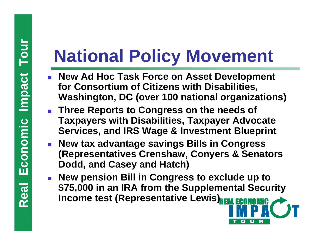- П **New Ad Hoc Task Force on Asset Development for Consortium of Citizens with Disabilities, Washington, DC (over 100 national organizations)**
- **Rew Ad Hoc Task Force on Asset Development**<br>
The Max Ad Hoc Task Force on Asset Development<br>
for Consortium of Citizens with Disabilities,<br>
Washington, DC (over 100 national organization<br>
Three Reports to Congress on the **Three Reports to Congress on the needs of Taxpayers with Disabilities, Taxpayer Advocate Services, and IRS Wage & Investment Blueprint**
	- **New tax advantage savings Bills in Congress (Representatives Crenshaw, Conyers & Senators Dodd, and Casey and Hatch)**
	- **New pension Bill in Congress to exclude up to \$75,000 in an IRA from the Supplemental Security Income test (Representative Lewis) REAL ECONOMIC**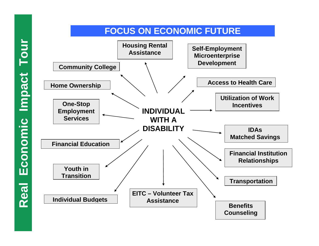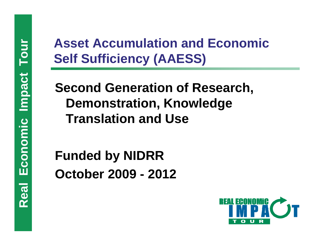# Asset Accumulation and Economic<br>
Self Sufficiency (AAESS)<br>
Second Generation of Research,<br>
Demonstration, Knowledge<br>
Translation and Use<br>
Funded by NIDRR<br>
October 2009 - 2012<br>
Research<br>
Research<br>
Research<br>
Research<br>
Resear